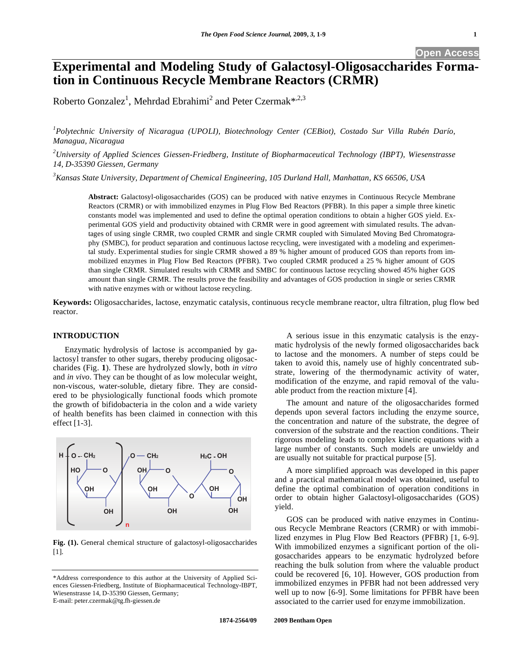# **Experimental and Modeling Study of Galactosyl-Oligosaccharides Formation in Continuous Recycle Membrane Reactors (CRMR)**

Roberto Gonzalez<sup>1</sup>, Mehrdad Ebrahimi<sup>2</sup> and Peter Czermak\*<sup>.2,3</sup>

<sup>1</sup> Polytechnic University of Nicaragua (UPOLI), Biotechnology Center (CEBiot), Costado Sur Villa Rubén Darío, *Managua, Nicaragua* 

*2 University of Applied Sciences Giessen-Friedberg, Institute of Biopharmaceutical Technology (IBPT), Wiesenstrasse 14, D-35390 Giessen, Germany* 

*3 Kansas State University, Department of Chemical Engineering, 105 Durland Hall, Manhattan, KS 66506, USA* 

**Abstract:** Galactosyl-oligosaccharides (GOS) can be produced with native enzymes in Continuous Recycle Membrane Reactors (CRMR) or with immobilized enzymes in Plug Flow Bed Reactors (PFBR). In this paper a simple three kinetic constants model was implemented and used to define the optimal operation conditions to obtain a higher GOS yield. Experimental GOS yield and productivity obtained with CRMR were in good agreement with simulated results. The advantages of using single CRMR, two coupled CRMR and single CRMR coupled with Simulated Moving Bed Chromatography (SMBC), for product separation and continuous lactose recycling, were investigated with a modeling and experimental study. Experimental studies for single CRMR showed a 89 % higher amount of produced GOS than reports from immobilized enzymes in Plug Flow Bed Reactors (PFBR). Two coupled CRMR produced a 25 % higher amount of GOS than single CRMR. Simulated results with CRMR and SMBC for continuous lactose recycling showed 45% higher GOS amount than single CRMR. The results prove the feasibility and advantages of GOS production in single or series CRMR with native enzymes with or without lactose recycling.

**Keywords:** Oligosaccharides, lactose, enzymatic catalysis, continuous recycle membrane reactor, ultra filtration, plug flow bed reactor.

#### **INTRODUCTION**

Enzymatic hydrolysis of lactose is accompanied by galactosyl transfer to other sugars, thereby producing oligosaccharides (Fig. **1**). These are hydrolyzed slowly, both *in vitro* and *in vivo*. They can be thought of as low molecular weight, non-viscous, water-soluble, dietary fibre. They are considered to be physiologically functional foods which promote the growth of bifidobacteria in the colon and a wide variety of health benefits has been claimed in connection with this effect [1-3].



**Fig. (1).** General chemical structure of galactosyl-oligosaccharides [1].

A serious issue in this enzymatic catalysis is the enzymatic hydrolysis of the newly formed oligosaccharides back to lactose and the monomers. A number of steps could be taken to avoid this, namely use of highly concentrated substrate, lowering of the thermodynamic activity of water, modification of the enzyme, and rapid removal of the valuable product from the reaction mixture [4].

The amount and nature of the oligosaccharides formed depends upon several factors including the enzyme source, the concentration and nature of the substrate, the degree of conversion of the substrate and the reaction conditions. Their rigorous modeling leads to complex kinetic equations with a large number of constants. Such models are unwieldy and are usually not suitable for practical purpose [5].

A more simplified approach was developed in this paper and a practical mathematical model was obtained, useful to define the optimal combination of operation conditions in order to obtain higher Galactosyl-oligosaccharides (GOS) yield.

GOS can be produced with native enzymes in Continuous Recycle Membrane Reactors (CRMR) or with immobilized enzymes in Plug Flow Bed Reactors (PFBR) [1, 6-9]. With immobilized enzymes a significant portion of the oligosaccharides appears to be enzymatic hydrolyzed before reaching the bulk solution from where the valuable product could be recovered [6, 10]. However, GOS production from immobilized enzymes in PFBR had not been addressed very well up to now [6-9]. Some limitations for PFBR have been associated to the carrier used for enzyme immobilization.

<sup>\*</sup>Address correspondence to this author at the University of Applied Sciences Giessen-Friedberg, Institute of Biopharmaceutical Technology-IBPT, Wiesenstrasse 14, D-35390 Giessen, Germany; E-mail: peter.czermak@tg.fh-giessen.de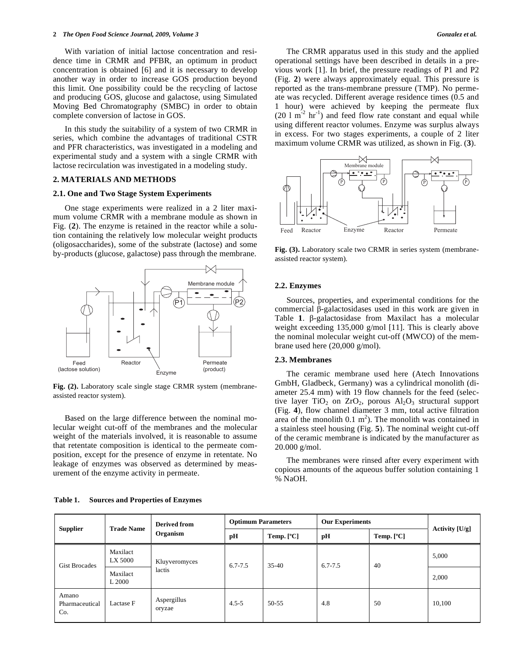With variation of initial lactose concentration and residence time in CRMR and PFBR, an optimum in product concentration is obtained [6] and it is necessary to develop another way in order to increase GOS production beyond this limit. One possibility could be the recycling of lactose and producing GOS, glucose and galactose, using Simulated Moving Bed Chromatography (SMBC) in order to obtain complete conversion of lactose in GOS.

In this study the suitability of a system of two CRMR in series, which combine the advantages of traditional CSTR and PFR characteristics, was investigated in a modeling and experimental study and a system with a single CRMR with lactose recirculation was investigated in a modeling study.

## **2. MATERIALS AND METHODS**

#### **2.1. One and Two Stage System Experiments**

One stage experiments were realized in a 2 liter maximum volume CRMR with a membrane module as shown in Fig. (**2**). The enzyme is retained in the reactor while a solution containing the relatively low molecular weight products (oligosaccharides), some of the substrate (lactose) and some by-products (glucose, galactose) pass through the membrane.



**Fig. (2).** Laboratory scale single stage CRMR system (membraneassisted reactor system).

Based on the large difference between the nominal molecular weight cut-off of the membranes and the molecular weight of the materials involved, it is reasonable to assume that retentate composition is identical to the permeate composition, except for the presence of enzyme in retentate. No leakage of enzymes was observed as determined by measurement of the enzyme activity in permeate.

The CRMR apparatus used in this study and the applied operational settings have been described in details in a previous work [1]. In brief, the pressure readings of P1 and P2 (Fig. **2**) were always approximately equal. This pressure is reported as the trans-membrane pressure (TMP). No permeate was recycled. Different average residence times (0.5 and 1 hour) were achieved by keeping the permeate flux  $(20 \ 1 \ m<sup>-2</sup> hr<sup>-1</sup>)$  and feed flow rate constant and equal while using different reactor volumes. Enzyme was surplus always in excess. For two stages experiments, a couple of 2 liter maximum volume CRMR was utilized, as shown in Fig. (**3**).



**Fig. (3).** Laboratory scale two CRMR in series system (membraneassisted reactor system).

#### **2.2. Enzymes**

Sources, properties, and experimental conditions for the commercial  $\beta$ -galactosidases used in this work are given in Table  $1$ .  $\beta$ -galactosidase from Maxilact has a molecular weight exceeding 135,000 g/mol [11]. This is clearly above the nominal molecular weight cut-off (MWCO) of the membrane used here (20,000 g/mol).

## **2.3. Membranes**

The ceramic membrane used here (Atech Innovations GmbH, Gladbeck, Germany) was a cylindrical monolith (diameter 25.4 mm) with 19 flow channels for the feed (selective layer TiO<sub>2</sub> on ZrO<sub>2</sub>, porous  $Al_2O_3$  structural support (Fig. **4**), flow channel diameter 3 mm, total active filtration area of the monolith  $0.1 \text{ m}^2$ ). The monolith was contained in a stainless steel housing (Fig. **5**). The nominal weight cut-off of the ceramic membrane is indicated by the manufacturer as 20.000 g/mol.

The membranes were rinsed after every experiment with copious amounts of the aqueous buffer solution containing 1 % NaOH.

| <b>Supplier</b>                | <b>Trade Name</b>   | <b>Derived from</b><br>Organism | <b>Optimum Parameters</b> |              | <b>Our Experiments</b> |              | Activity [U/g] |
|--------------------------------|---------------------|---------------------------------|---------------------------|--------------|------------------------|--------------|----------------|
|                                |                     |                                 | pН                        | Temp. $[°C]$ | pН                     | Temp. $[°C]$ |                |
| <b>Gist Brocades</b>           | Maxilact<br>LX 5000 | Kluyveromyces                   | $6.7 - 7.5$               | $35-40$      | $6.7 - 7.5$            | 40           | 5,000          |
|                                | Maxilact<br>L 2000  | lactis                          |                           |              |                        |              | 2,000          |
| Amano<br>Pharmaceutical<br>Co. | Lactase F           | Aspergillus<br>oryzae           | $4.5 - 5$                 | 50-55        | 4.8                    | 50           | 10,100         |

**Table 1. Sources and Properties of Enzymes**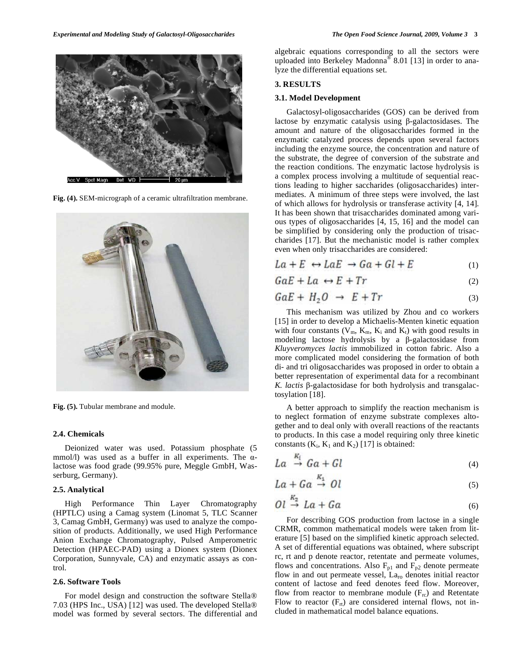

**Fig. (4).** SEM-micrograph of a ceramic ultrafiltration membrane.



**Fig. (5).** Tubular membrane and module.

#### **2.4. Chemicals**

Deionized water was used. Potassium phosphate (5 mmol/l) was used as a buffer in all experiments. The  $\alpha$ lactose was food grade (99.95% pure, Meggle GmbH, Wasserburg, Germany).

#### **2.5. Analytical**

High Performance Thin Layer Chromatography (HPTLC) using a Camag system (Linomat 5, TLC Scanner 3, Camag GmbH, Germany) was used to analyze the composition of products. Additionally, we used High Performance Anion Exchange Chromatography, Pulsed Amperometric Detection (HPAEC-PAD) using a Dionex system (Dionex Corporation, Sunnyvale, CA) and enzymatic assays as control.

# **2.6. Software Tools**

For model design and construction the software Stella® 7.03 (HPS Inc., USA) [12] was used. The developed Stella® model was formed by several sectors. The differential and algebraic equations corresponding to all the sectors were uploaded into Berkeley Madonna® 8.01 [13] in order to analyze the differential equations set.

# **3. RESULTS**

#### **3.1. Model Development**

Galactosyl-oligosaccharides (GOS) can be derived from lactose by enzymatic catalysis using  $\beta$ -galactosidases. The amount and nature of the oligosaccharides formed in the enzymatic catalyzed process depends upon several factors including the enzyme source, the concentration and nature of the substrate, the degree of conversion of the substrate and the reaction conditions. The enzymatic lactose hydrolysis is a complex process involving a multitude of sequential reactions leading to higher saccharides (oligosaccharides) intermediates. A minimum of three steps were involved, the last of which allows for hydrolysis or transferase activity [4, 14]. It has been shown that trisaccharides dominated among various types of oligosaccharides [4, 15, 16] and the model can be simplified by considering only the production of trisaccharides [17]. But the mechanistic model is rather complex even when only trisaccharides are considered:

$$
La + E \leftrightarrow LaE \rightarrow Ga + Gl + E \tag{1}
$$

$$
GaE + La \leftrightarrow E + Tr \tag{2}
$$

$$
GaE + H_2O \rightarrow E + Tr \tag{3}
$$

This mechanism was utilized by Zhou and co workers [15] in order to develop a Michaelis-Menten kinetic equation with four constants ( $V_m$ ,  $K_m$ ,  $K_i$  and  $K_t$ ) with good results in modeling lactose hydrolysis by a  $\beta$ -galactosidase from *Kluyveromyces lactis* immobilized in cotton fabric. Also a more complicated model considering the formation of both di- and tri oligosaccharides was proposed in order to obtain a better representation of experimental data for a recombinant K. lactis β-galactosidase for both hydrolysis and transgalactosylation [18].

A better approach to simplify the reaction mechanism is to neglect formation of enzyme substrate complexes altogether and to deal only with overall reactions of the reactants to products. In this case a model requiring only three kinetic constants  $(K_i, K_1 \text{ and } K_2)$  [17] is obtained:

$$
La \stackrel{\kappa_i}{\to} Ga + Gl \tag{4}
$$

$$
La + Ga \stackrel{\kappa_1}{\rightarrow} Ol \tag{5}
$$

$$
Ol \stackrel{\kappa_2}{\to} La + Ga \tag{6}
$$

For describing GOS production from lactose in a single CRMR, common mathematical models were taken from literature [5] based on the simplified kinetic approach selected. A set of differential equations was obtained, where subscript rc, rt and p denote reactor, retentate and permeate volumes, flows and concentrations. Also  $F_{p1}$  and  $F_{p2}$  denote permeate flow in and out permeate vessel,  $La_{ro}$  denotes initial reactor content of lactose and feed denotes feed flow. Moreover, flow from reactor to membrane module  $(F_{rc})$  and Retentate Flow to reactor  $(F_{rt})$  are considered internal flows, not included in mathematical model balance equations.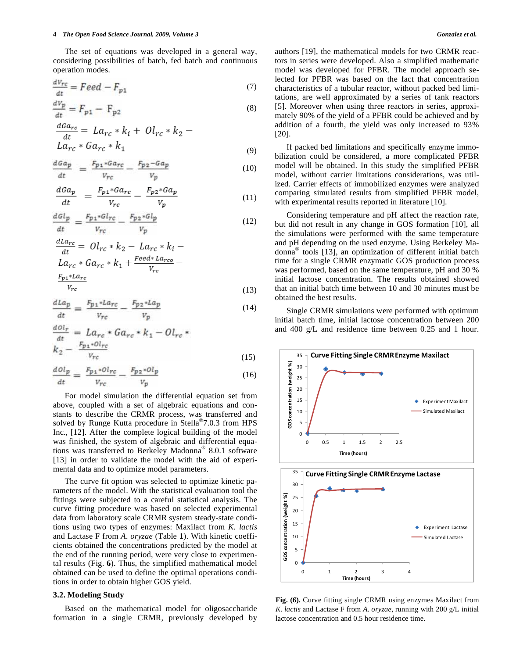#### **4** *The Open Food Science Journal, 2009, Volume 3 Gonzalez et al.*

The set of equations was developed in a general way, considering possibilities of batch, fed batch and continuous operation modes.

$$
\frac{dV_{rc}}{dt} = Feed - F_{p1} \tag{7}
$$

$$
\frac{dV_p}{dt} = F_{p1} - F_{p2} \tag{8}
$$

$$
\frac{dG_{rc}}{dt} = La_{rc} * k_i + Ol_{rc} * k_2 - La_{rc} * Ga_{rc} * k_1
$$
\n(9)

$$
\frac{dGa_p}{dt} = \frac{F_{p1} * Ga_{rc}}{V_{rc}} - \frac{F_{p2} - Ga_p}{V_n} \tag{10}
$$

$$
\frac{dGa_p}{dt} = \frac{F_{p1} * Ga_{rc}}{V_{rc}} - \frac{F_{p2} * Ga_p}{V_p} \tag{11}
$$

$$
\frac{dGl_p}{dt} = \frac{F_{p1} * Gl_{rc}}{V_{rc}} - \frac{F_{p2} * Gl_p}{V_p} \tag{12}
$$

$$
\frac{dLa_{rc}}{dt} = Ol_{rc} * k_2 - La_{rc} * k_i -
$$
  
\n
$$
La_{rc} * Ga_{rc} * k_1 + \frac{Feed * La_{rco}}{V_{rc}} -
$$
  
\n
$$
\frac{F_{p1} * La_{rc}}{V_{rc}}
$$
 (13)

$$
\frac{dLa_p}{dt} = \frac{F_{p1} * La_{rc}}{V_{rc}} - \frac{F_{p2} * La_p}{V_p} \tag{14}
$$

$$
\frac{d\Omega_r}{dt} = La_{rc} * Ga_{rc} * k_1 - Ol_{rc} *k_2 - \frac{F_{p1} * Ol_{rc}}{v_{rc}}
$$
\n(15)

$$
\frac{d\phi l_p}{dt} = \frac{F_{p_1} \cdot \phi l_{rc}}{V_{rc}} - \frac{F_{p_2} \cdot \phi l_p}{V_p} \tag{16}
$$

For model simulation the differential equation set from above, coupled with a set of algebraic equations and constants to describe the CRMR process, was transferred and solved by Runge Kutta procedure in Stella®7.0.3 from HPS Inc., [12]. After the complete logical building of the model was finished, the system of algebraic and differential equations was transferred to Berkeley Madonna® 8.0.1 software [13] in order to validate the model with the aid of experimental data and to optimize model parameters.

The curve fit option was selected to optimize kinetic parameters of the model. With the statistical evaluation tool the fittings were subjected to a careful statistical analysis. The curve fitting procedure was based on selected experimental data from laboratory scale CRMR system steady-state conditions using two types of enzymes: Maxilact from *K. lactis* and Lactase F from *A. oryzae* (Table **1**). With kinetic coefficients obtained the concentrations predicted by the model at the end of the running period, were very close to experimental results (Fig. **6**). Thus, the simplified mathematical model obtained can be used to define the optimal operations conditions in order to obtain higher GOS yield.

### **3.2. Modeling Study**

Based on the mathematical model for oligosaccharide formation in a single CRMR, previously developed by authors [19], the mathematical models for two CRMR reactors in series were developed. Also a simplified mathematic model was developed for PFBR. The model approach selected for PFBR was based on the fact that concentration characteristics of a tubular reactor, without packed bed limitations, are well approximated by a series of tank reactors [5]. Moreover when using three reactors in series, approximately 90% of the yield of a PFBR could be achieved and by addition of a fourth, the yield was only increased to 93% [20].

If packed bed limitations and specifically enzyme immobilization could be considered, a more complicated PFBR model will be obtained. In this study the simplified PFBR model, without carrier limitations considerations, was utilized. Carrier effects of immobilized enzymes were analyzed comparing simulated results from simplified PFBR model, with experimental results reported in literature [10].

Considering temperature and pH affect the reaction rate, but did not result in any change in GOS formation [10], all the simulations were performed with the same temperature and pH depending on the used enzyme. Using Berkeley Madonna® tools [13], an optimization of different initial batch time for a single CRMR enzymatic GOS production process was performed, based on the same temperature, pH and 30 % initial lactose concentration. The results obtained showed that an initial batch time between 10 and 30 minutes must be obtained the best results.

Single CRMR simulations were performed with optimum initial batch time, initial lactose concentration between 200 and 400 g/L and residence time between 0.25 and 1 hour.





**Fig. (6).** Curve fitting single CRMR using enzymes Maxilact from *K. lactis* and Lactase F from *A. oryzae*, running with 200 g/L initial lactose concentration and 0.5 hour residence time.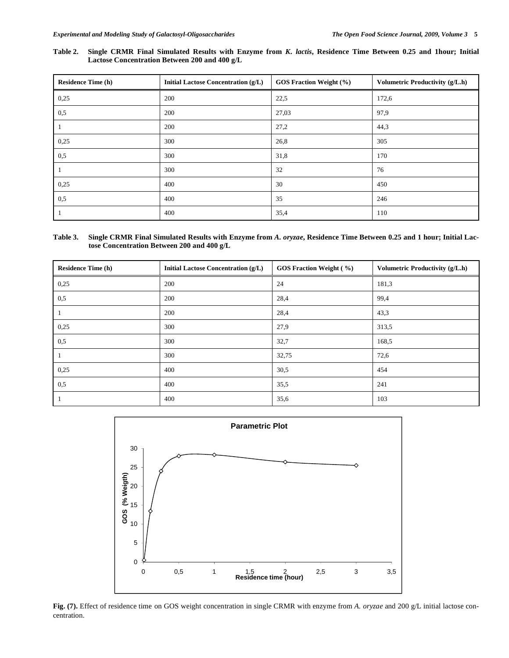**Table 2. Single CRMR Final Simulated Results with Enzyme from** *K. lactis***, Residence Time Between 0.25 and 1hour; Initial Lactose Concentration Between 200 and 400 g/L** 

| <b>Residence Time (h)</b> | <b>Initial Lactose Concentration (g/L)</b> | GOS Fraction Weight (%) | Volumetric Productivity (g/L.h) |
|---------------------------|--------------------------------------------|-------------------------|---------------------------------|
| 0,25                      | 200                                        | 22,5                    | 172,6                           |
| 0,5                       | 200                                        | 27,03                   | 97.9                            |
| $\mathbf{I}$              | 200                                        | 27,2                    | 44,3                            |
| 0,25                      | 300                                        | 26,8                    | 305                             |
| 0,5                       | 300                                        | 31,8                    | 170                             |
|                           | 300                                        | 32                      | 76                              |
| 0,25                      | 400                                        | 30                      | 450                             |
| 0,5                       | 400                                        | 35                      | 246                             |
|                           | 400                                        | 35,4                    | 110                             |

**Table 3. Single CRMR Final Simulated Results with Enzyme from** *A. oryzae***, Residence Time Between 0.25 and 1 hour; Initial Lactose Concentration Between 200 and 400 g/L** 

| <b>Residence Time (h)</b> | <b>Initial Lactose Concentration (g/L)</b> | <b>GOS Fraction Weight (%)</b> | Volumetric Productivity (g/L.h) |
|---------------------------|--------------------------------------------|--------------------------------|---------------------------------|
| 0,25                      | 200                                        | 24                             | 181,3                           |
| 0,5                       | 200                                        | 28,4                           | 99,4                            |
|                           | 200                                        | 28,4                           | 43,3                            |
| 0,25                      | 300                                        | 27,9                           | 313,5                           |
| 0,5                       | 300                                        | 32,7                           | 168,5                           |
| -1                        | 300                                        | 32,75                          | 72,6                            |
| 0,25                      | 400                                        | 30,5                           | 454                             |
| 0,5                       | 400                                        | 35,5                           | 241                             |
|                           | 400                                        | 35,6                           | 103                             |



**Fig. (7).** Effect of residence time on GOS weight concentration in single CRMR with enzyme from *A. oryzae* and 200 g/L initial lactose concentration.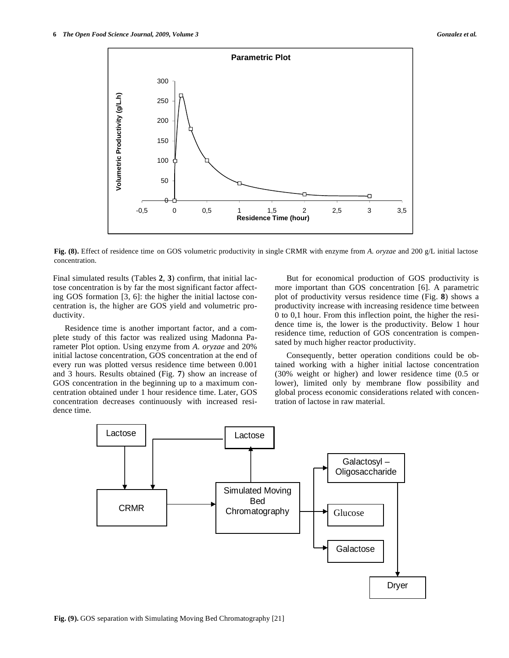

**Fig. (8).** Effect of residence time on GOS volumetric productivity in single CRMR with enzyme from *A. oryzae* and 200 g/L initial lactose concentration.

Final simulated results (Tables **2**, **3**) confirm, that initial lactose concentration is by far the most significant factor affecting GOS formation [3, 6]: the higher the initial lactose concentration is, the higher are GOS yield and volumetric productivity.

Residence time is another important factor, and a complete study of this factor was realized using Madonna Parameter Plot option. Using enzyme from *A. oryzae* and 20% initial lactose concentration, GOS concentration at the end of every run was plotted versus residence time between 0.001 and 3 hours. Results obtained (Fig. **7**) show an increase of GOS concentration in the beginning up to a maximum concentration obtained under 1 hour residence time. Later, GOS concentration decreases continuously with increased residence time.

But for economical production of GOS productivity is more important than GOS concentration [6]. A parametric plot of productivity versus residence time (Fig. **8**) shows a productivity increase with increasing residence time between 0 to 0,1 hour. From this inflection point, the higher the residence time is, the lower is the productivity. Below 1 hour residence time, reduction of GOS concentration is compensated by much higher reactor productivity.

Consequently, better operation conditions could be obtained working with a higher initial lactose concentration (30% weight or higher) and lower residence time (0.5 or lower), limited only by membrane flow possibility and global process economic considerations related with concentration of lactose in raw material.

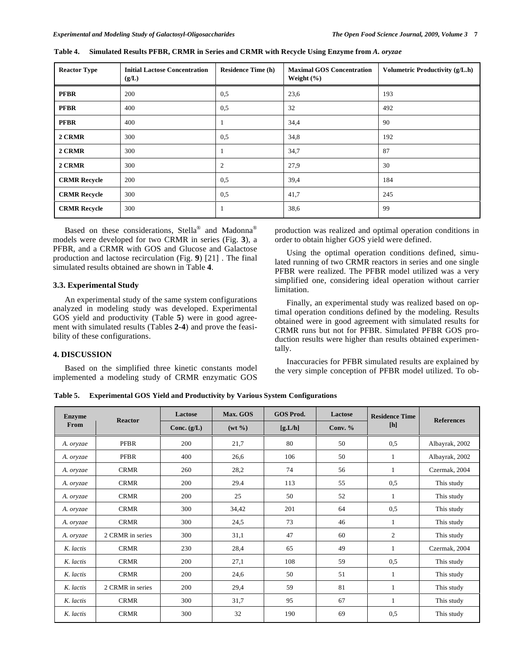| <b>Reactor Type</b> | <b>Initial Lactose Concentration</b><br>(g/L) | <b>Residence Time (h)</b> | <b>Maximal GOS Concentration</b><br>Weight $(\% )$ | Volumetric Productivity (g/L.h) |
|---------------------|-----------------------------------------------|---------------------------|----------------------------------------------------|---------------------------------|
| <b>PFBR</b>         | 200                                           | 0,5                       | 23,6                                               | 193                             |
| <b>PFBR</b>         | 400                                           | 0,5                       | 32                                                 | 492                             |
| <b>PFBR</b>         | 400                                           | 1                         | 34,4                                               | 90                              |
| 2 CRMR              | 300                                           | 0,5                       | 34,8                                               | 192                             |
| 2 CRMR              | 300                                           | 1                         | 34,7                                               | 87                              |
| 2 CRMR              | 300                                           | $\overline{2}$            | 27,9                                               | 30                              |
| <b>CRMR Recycle</b> | 200                                           | 0,5                       | 39,4                                               | 184                             |
| <b>CRMR Recycle</b> | 300                                           | 0,5                       | 41,7                                               | 245                             |
| <b>CRMR Recycle</b> | 300                                           |                           | 38,6                                               | 99                              |

**Table 4. Simulated Results PFBR, CRMR in Series and CRMR with Recycle Using Enzyme from** *A. oryzae* 

Based on these considerations, Stella<sup>®</sup> and Madonna<sup>®</sup> models were developed for two CRMR in series (Fig. **3**), a PFBR, and a CRMR with GOS and Glucose and Galactose production and lactose recirculation (Fig. **9**) [21] . The final simulated results obtained are shown in Table **4**.

# **3.3. Experimental Study**

An experimental study of the same system configurations analyzed in modeling study was developed. Experimental GOS yield and productivity (Table **5**) were in good agreement with simulated results (Tables **2-4**) and prove the feasibility of these configurations.

# **4. DISCUSSION**

Based on the simplified three kinetic constants model implemented a modeling study of CRMR enzymatic GOS

production was realized and optimal operation conditions in order to obtain higher GOS yield were defined.

Using the optimal operation conditions defined, simulated running of two CRMR reactors in series and one single PFBR were realized. The PFBR model utilized was a very simplified one, considering ideal operation without carrier limitation.

Finally, an experimental study was realized based on optimal operation conditions defined by the modeling. Results obtained were in good agreement with simulated results for CRMR runs but not for PFBR. Simulated PFBR GOS production results were higher than results obtained experimentally.

Inaccuracies for PFBR simulated results are explained by the very simple conception of PFBR model utilized. To ob-

**Table 5. Experimental GOS Yield and Productivity by Various System Configurations** 

| <b>Enzyme</b> | <b>Reactor</b>   | Lactose       | Max. GOS           | <b>GOS Prod.</b> | Lactose<br><b>Residence Time</b> | <b>References</b> |                |
|---------------|------------------|---------------|--------------------|------------------|----------------------------------|-------------------|----------------|
| From          |                  | Conc. $(g/L)$ | $(wt \frac{9}{6})$ | [g.L/h]          | Conv. $%$                        | [h]               |                |
| A. oryzae     | <b>PFBR</b>      | 200           | 21,7               | 80               | 50                               | 0,5               | Albayrak, 2002 |
| A. oryzae     | <b>PFBR</b>      | 400           | 26,6               | 106              | 50                               | 1                 | Albayrak, 2002 |
| A. oryzae     | <b>CRMR</b>      | 260           | 28,2               | 74               | 56                               | 1                 | Czermak, 2004  |
| A. oryzae     | <b>CRMR</b>      | 200           | 29.4               | 113              | 55                               | 0,5               | This study     |
| A. oryzae     | <b>CRMR</b>      | 200           | 25                 | 50               | 52                               | 1                 | This study     |
| A. oryzae     | <b>CRMR</b>      | 300           | 34,42              | 201              | 64                               | 0,5               | This study     |
| A. oryzae     | <b>CRMR</b>      | 300           | 24,5               | 73               | 46                               | 1                 | This study     |
| A. oryzae     | 2 CRMR in series | 300           | 31,1               | 47               | 60                               | $\overline{2}$    | This study     |
| K. lactis     | <b>CRMR</b>      | 230           | 28,4               | 65               | 49                               | 1                 | Czermak, 2004  |
| K. lactis     | <b>CRMR</b>      | 200           | 27,1               | 108              | 59                               | 0,5               | This study     |
| K. lactis     | <b>CRMR</b>      | 200           | 24,6               | 50               | 51                               | 1                 | This study     |
| K. lactis     | 2 CRMR in series | 200           | 29,4               | 59               | 81                               | 1                 | This study     |
| K. lactis     | <b>CRMR</b>      | 300           | 31,7               | 95               | 67                               | $\mathbf{1}$      | This study     |
| K. lactis     | <b>CRMR</b>      | 300           | 32                 | 190              | 69                               | 0,5               | This study     |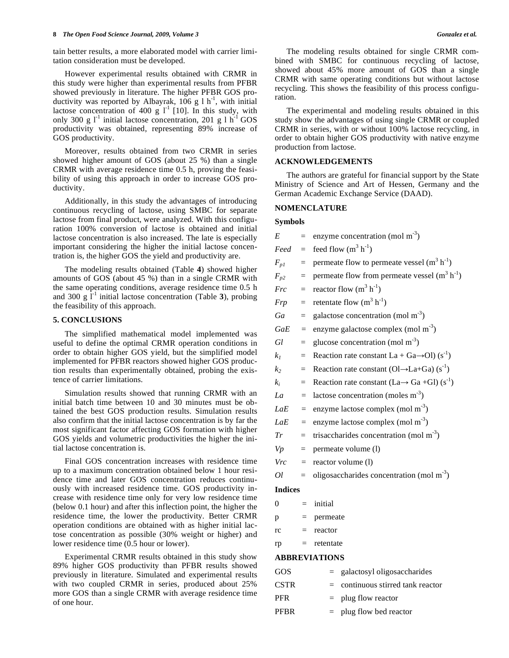tain better results, a more elaborated model with carrier limitation consideration must be developed.

However experimental results obtained with CRMR in this study were higher than experimental results from PFBR showed previously in literature. The higher PFBR GOS productivity was reported by Albayrak,  $106 \text{ g} 1 \text{ h}^{-1}$ , with initial lactose concentration of 400 g  $I^1$  [10]. In this study, with only 300 g  $l^{-1}$  initial lactose concentration, 201 g 1 h<sup>-1</sup> GOS productivity was obtained, representing 89% increase of GOS productivity.

Moreover, results obtained from two CRMR in series showed higher amount of GOS (about 25 %) than a single CRMR with average residence time 0.5 h, proving the feasibility of using this approach in order to increase GOS productivity.

Additionally, in this study the advantages of introducing continuous recycling of lactose, using SMBC for separate lactose from final product, were analyzed. With this configuration 100% conversion of lactose is obtained and initial lactose concentration is also increased. The late is especially important considering the higher the initial lactose concentration is, the higher GOS the yield and productivity are.

The modeling results obtained (Table **4**) showed higher amounts of GOS (about 45 %) than in a single CRMR with the same operating conditions, average residence time 0.5 h and 300 g  $\Gamma^1$  initial lactose concentration (Table 3), probing the feasibility of this approach.

# **5. CONCLUSIONS**

The simplified mathematical model implemented was useful to define the optimal CRMR operation conditions in order to obtain higher GOS yield, but the simplified model implemented for PFBR reactors showed higher GOS production results than experimentally obtained, probing the existence of carrier limitations.

Simulation results showed that running CRMR with an initial batch time between 10 and 30 minutes must be obtained the best GOS production results. Simulation results also confirm that the initial lactose concentration is by far the most significant factor affecting GOS formation with higher GOS yields and volumetric productivities the higher the initial lactose concentration is.

Final GOS concentration increases with residence time up to a maximum concentration obtained below 1 hour residence time and later GOS concentration reduces continuously with increased residence time. GOS productivity increase with residence time only for very low residence time (below 0.1 hour) and after this inflection point, the higher the residence time, the lower the productivity. Better CRMR operation conditions are obtained with as higher initial lactose concentration as possible (30% weight or higher) and lower residence time (0.5 hour or lower).

Experimental CRMR results obtained in this study show 89% higher GOS productivity than PFBR results showed previously in literature. Simulated and experimental results with two coupled CRMR in series, produced about 25% more GOS than a single CRMR with average residence time of one hour.

The modeling results obtained for single CRMR combined with SMBC for continuous recycling of lactose, showed about 45% more amount of GOS than a single CRMR with same operating conditions but without lactose recycling. This shows the feasibility of this process configuration.

The experimental and modeling results obtained in this study show the advantages of using single CRMR or coupled CRMR in series, with or without 100% lactose recycling, in order to obtain higher GOS productivity with native enzyme production from lactose.

#### **ACKNOWLEDGEMENTS**

The authors are grateful for financial support by the State Ministry of Science and Art of Hessen, Germany and the German Academic Exchange Service (DAAD).

#### **NOMENCLATURE**

#### **Symbols**

| $=$ enzyme concentration (mol m <sup>-3</sup> ) |  |
|-------------------------------------------------|--|
|                                                 |  |

 $\text{Head} = \text{feed flow (m}^3 \text{ h}^{-1})$ 

- $F_{p1}$  = permeate flow to permeate vessel (m<sup>3</sup> h<sup>-1</sup>)
- $F_{p2}$  = permeate flow from permeate vessel (m<sup>3</sup> h<sup>-1</sup>)
- $Frc = \text{reactor flow (m}^3 \text{ h}^{-1})$
- $Frp =$  retentate flow  $(m^3 h^{-1})$
- $Ga$  = galactose concentration (mol m<sup>-3</sup>)
- $GaE$  = enzyme galactose complex (mol m<sup>-3</sup>)
- $Gl =$  glucose concentration (mol m<sup>-3</sup>)
- $k_1$  = Reaction rate constant La + Ga $\rightarrow$ Ol) (s<sup>-1</sup>)
- $k_2$  = Reaction rate constant (Ol $\rightarrow$ La+Ga) (s<sup>-1</sup>)
- $k_i$  = Reaction rate constant (La  $\rightarrow$  Ga +Gl) (s<sup>-1</sup>)
- $La =$  lactose concentration (moles m<sup>-3</sup>)
- $LaE =$  enzyme lactose complex (mol m<sup>-3</sup>)
- $LaE =$  enzyme lactose complex (mol m<sup>-3</sup>)
- $Tr$  = trisaccharides concentration (mol m<sup>-3</sup>)
- $Vp =$  permeate volume (1)
- *Vrc =* reactor volume (l)
- $Ol = oligosaccharides concentration (mol m<sup>-3</sup>)$

# **Indices**

| 0 | initial |  |
|---|---------|--|
|   |         |  |

 $p =$  permeate

- $rc = reactor$
- $rp =$  retentate

# **ABBREVIATIONS**

| GOS.        | $=$ galactosyl oligos accharides    |
|-------------|-------------------------------------|
| <b>CSTR</b> | $=$ continuous stirred tank reactor |
| PFR.        | $=$ plug flow reactor               |
| <b>PFBR</b> | $=$ plug flow bed reactor           |